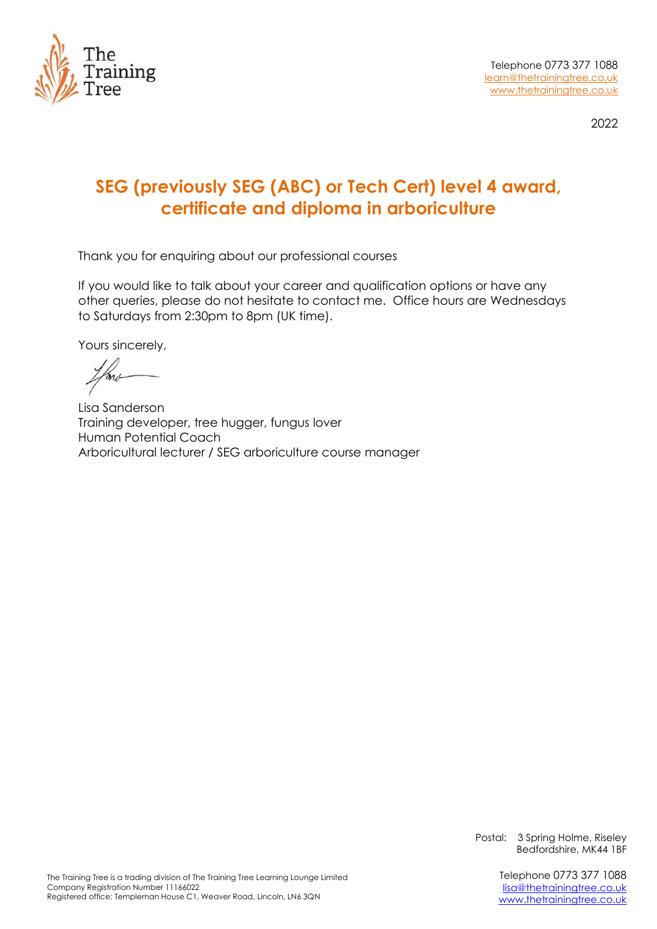

2022

# **SEG (previously SEG (ABC) or Tech Cert) level 4 award, certificate and diploma in arboriculture**

Thank you for enquiring about our professional courses

If you would like to talk about your career and qualification options or have any other queries, please do not hesitate to contact me. Office hours are Wednesdays to Saturdays from 2:30pm to 8pm (UK time).

Yours sincerely,

Lisa Sanderson Training developer, tree hugger, fungus lover Human Potential Coach Arboricultural lecturer / SEG arboriculture course manager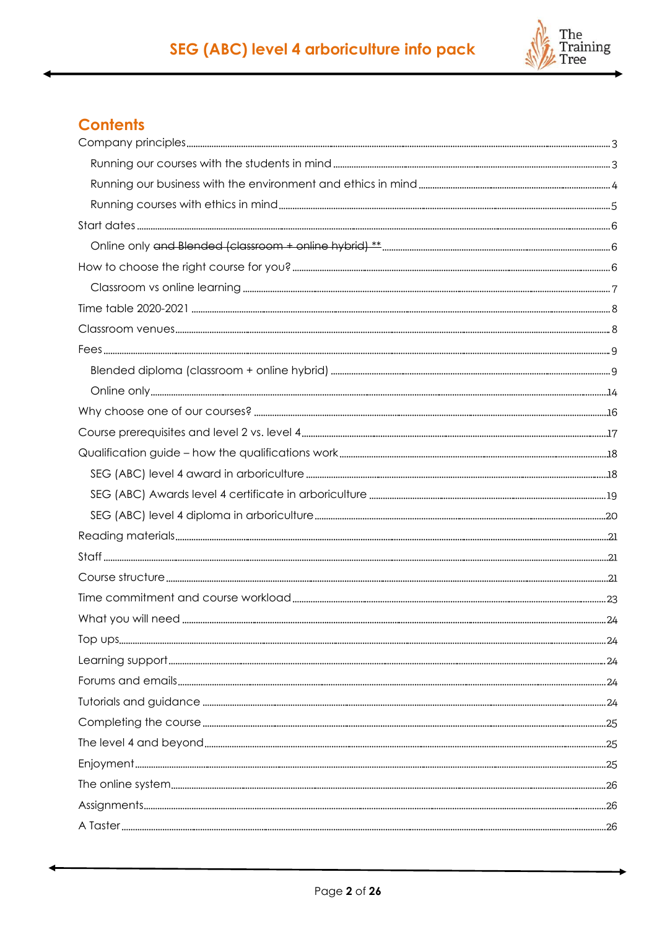

# **Contents**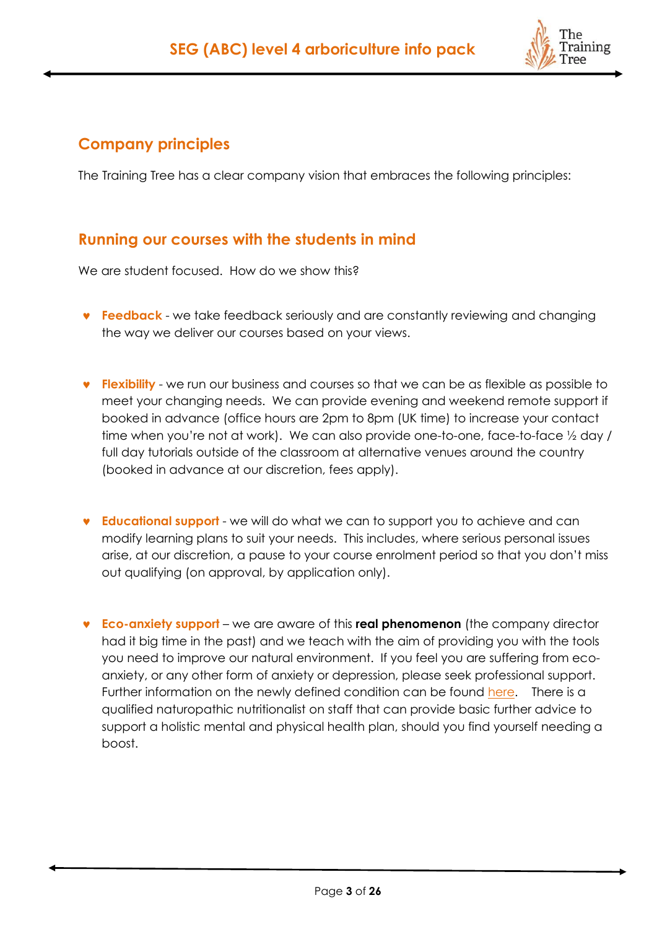

# <span id="page-2-0"></span>**Company principles**

The Training Tree has a clear company vision that embraces the following principles:

### <span id="page-2-1"></span>**Running our courses with the students in mind**

We are student focused. How do we show this?

- **Feedback** we take feedback seriously and are constantly reviewing and changing the way we deliver our courses based on your views.
- **Flexibility** we run our business and courses so that we can be as flexible as possible to meet your changing needs. We can provide evening and weekend remote support if booked in advance (office hours are 2pm to 8pm (UK time) to increase your contact time when you're not at work). We can also provide one-to-one, face-to-face ½ day / full day tutorials outside of the classroom at alternative venues around the country (booked in advance at our discretion, fees apply).
- **Educational support** we will do what we can to support you to achieve and can modify learning plans to suit your needs. This includes, where serious personal issues arise, at our discretion, a pause to your course enrolment period so that you don't miss out qualifying (on approval, by application only).
- **Eco-anxiety support** we are aware of this **real phenomenon** (the company director had it big time in the past) and we teach with the aim of providing you with the tools you need to improve our natural environment. If you feel you are suffering from ecoanxiety, or any other form of anxiety or depression, please seek professional support. Further information on the newly defined condition can be found [here.](https://www.netdoctor.co.uk/healthy-living/mental-health/a27065018/climate-change-eco-anxiety/) There is a qualified naturopathic nutritionalist on staff that can provide basic further advice to support a holistic mental and physical health plan, should you find yourself needing a boost.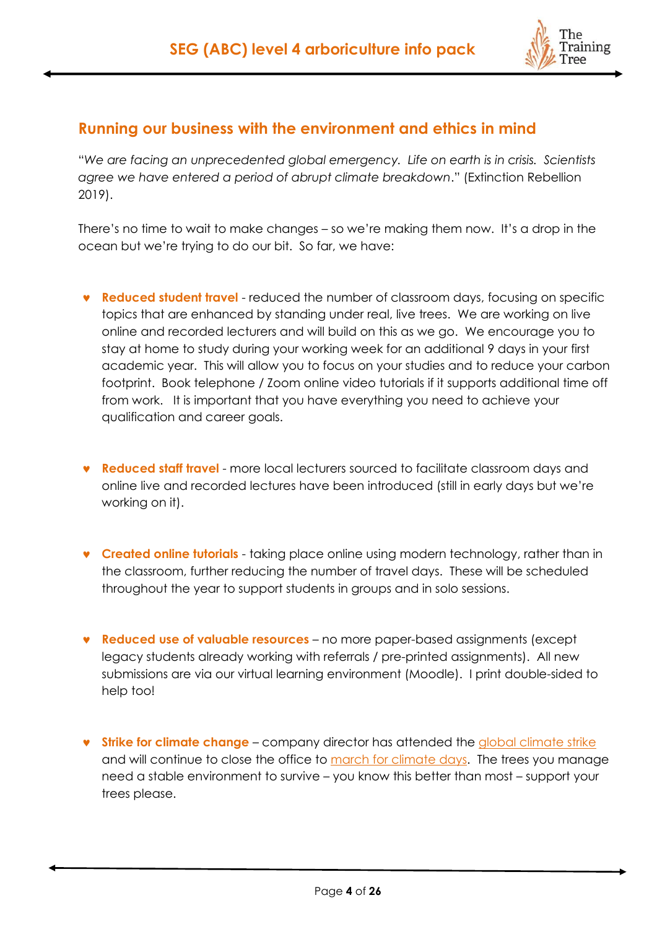

## <span id="page-3-0"></span>**Running our business with the environment and ethics in mind**

"*We are facing an unprecedented global emergency. Life on earth is in crisis. Scientists agree we have entered a period of abrupt climate breakdown*." (Extinction Rebellion 2019).

There's no time to wait to make changes – so we're making them now. It's a drop in the ocean but we're trying to do our bit. So far, we have:

- **Reduced student travel** reduced the number of classroom days, focusing on specific topics that are enhanced by standing under real, live trees. We are working on live online and recorded lecturers and will build on this as we go. We encourage you to stay at home to study during your working week for an additional 9 days in your first academic year. This will allow you to focus on your studies and to reduce your carbon footprint. Book telephone / Zoom online video tutorials if it supports additional time off from work. It is important that you have everything you need to achieve your qualification and career goals.
- **Reduced staff travel** more local lecturers sourced to facilitate classroom days and online live and recorded lectures have been introduced (still in early days but we're working on it).
- **Created online tutorials** taking place online using modern technology, rather than in the classroom, further reducing the number of travel days. These will be scheduled throughout the year to support students in groups and in solo sessions.
- **Reduced use of valuable resources** no more paper-based assignments (except legacy students already working with referrals / pre-printed assignments). All new submissions are via our virtual learning environment (Moodle). I print double-sided to help too!
- **Strike for climate change** company director has attended the [global climate strike](https://globalclimatestrike.net/) and will continue to close the office to [march for climate days.](https://rebellion.earth/the-truth/the-emergency/) The trees you manage need a stable environment to survive – you know this better than most – support your trees please.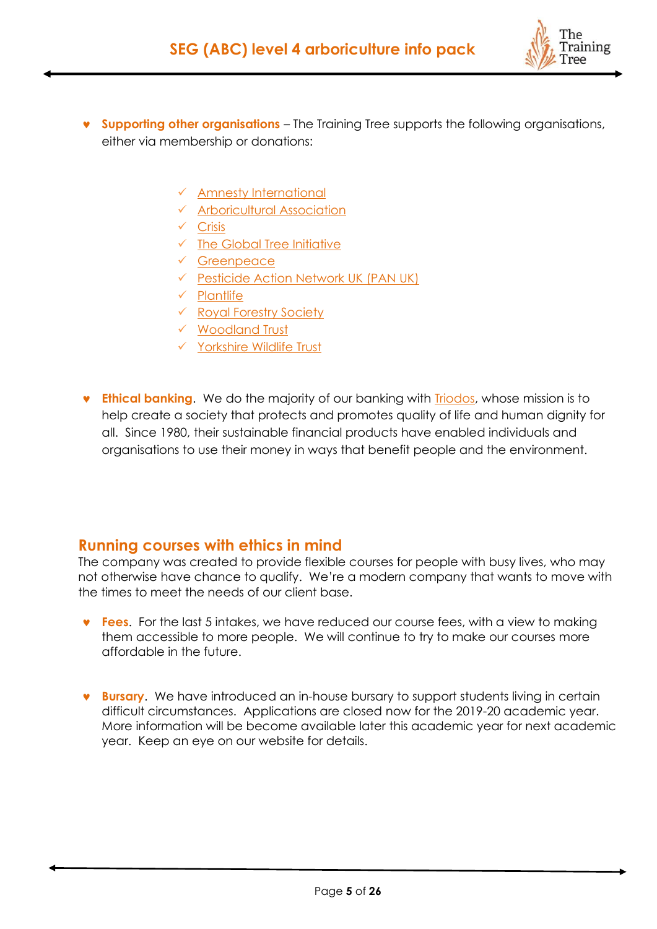

- **Supporting other organisations** The Training Tree supports the following organisations, either via membership or donations:
	- ✓ [Amnesty International](https://www.amnesty.org/en/)
	- ✓ [Arboricultural Association](https://www.trees.org.uk/)
	- ✓ [Crisis](https://www.crisis.org.uk/)
	- $\checkmark$  [The Global Tree Initiative](https://plantgrowsave.org/)
	- ✓ [Greenpeace](https://www.greenpeace.org.uk/)
	- ✓ [Pesticide Action Network UK \(PAN](https://www.pan-uk.org/) UK)
	- ✓ [Plantlife](https://www.plantlife.org.uk/uk)
	- ✓ [Royal Forestry Society](https://rfs.org.uk/)
	- ✓ [Woodland Trust](https://www.woodlandtrust.org.uk/)
	- ✓ [Yorkshire Wildlife Trust](https://www.ywt.org.uk/)
- **Ethical banking.** We do the majority of our banking with [Triodos,](https://www.triodos.co.uk/about-us) whose mission is to help create a society that protects and promotes quality of life and human dignity for all. Since 1980, their sustainable financial products have enabled individuals and organisations to use their money in ways that benefit people and the environment.

#### <span id="page-4-0"></span>**Running courses with ethics in mind**

The company was created to provide flexible courses for people with busy lives, who may not otherwise have chance to qualify. We're a modern company that wants to move with the times to meet the needs of our client base.

- **Fees**. For the last 5 intakes, we have reduced our course fees, with a view to making them accessible to more people. We will continue to try to make our courses more affordable in the future.
- **Bursary**. We have introduced an in-house bursary to support students living in certain difficult circumstances. Applications are closed now for the 2019-20 academic year. More information will be become available later this academic year for next academic year. Keep an eye on our website for details.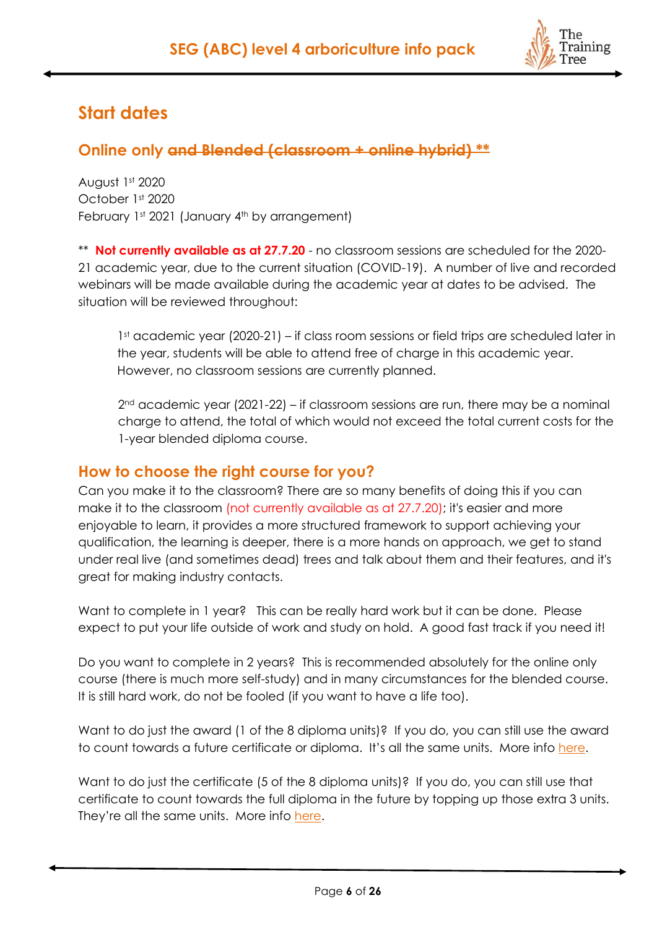

# <span id="page-5-0"></span>**Start dates**

## <span id="page-5-1"></span>**Online only and Blended (classroom + online hybrid) \*\***

August 1st 2020 October 1st 2020 February 1st 2021 (January 4th by arrangement)

\*\* **Not currently available as at 27.7.20** - no classroom sessions are scheduled for the 2020- 21 academic year, due to the current situation (COVID-19). A number of live and recorded webinars will be made available during the academic year at dates to be advised. The situation will be reviewed throughout:

1<sup>st</sup> academic year (2020-21) – if class room sessions or field trips are scheduled later in the year, students will be able to attend free of charge in this academic year. However, no classroom sessions are currently planned.

 $2<sup>nd</sup>$  academic year (2021-22) – if classroom sessions are run, there may be a nominal charge to attend, the total of which would not exceed the total current costs for the 1-year blended diploma course.

### <span id="page-5-2"></span>**How to choose the right course for you?**

Can you make it to the classroom? There are so many benefits of doing this if you can make it to the classroom (not currently available as at 27.7.20); it's easier and more enjoyable to learn, it provides a more structured framework to support achieving your qualification, the learning is deeper, there is a more hands on approach, we get to stand under real live (and sometimes dead) trees and talk about them and their features, and it's great for making industry contacts.

Want to complete in 1 year? This can be really hard work but it can be done. Please expect to put your life outside of work and study on hold. A good fast track if you need it!

Do you want to complete in 2 years? This is recommended absolutely for the online only course (there is much more self-study) and in many circumstances for the blended course. It is still hard work, do not be fooled (if you want to have a life too).

Want to do just the award (1 of the 8 diploma units)? If you do, you can still use the award to count towards a future certificate or diploma. It's all the same units. More info [here.](#page-17-1)

Want to do just the certificate (5 of the 8 diploma units)? If you do, you can still use that certificate to count towards the full diploma in the future by topping up those extra 3 units. They're all the same units. More info [here.](#page-18-0)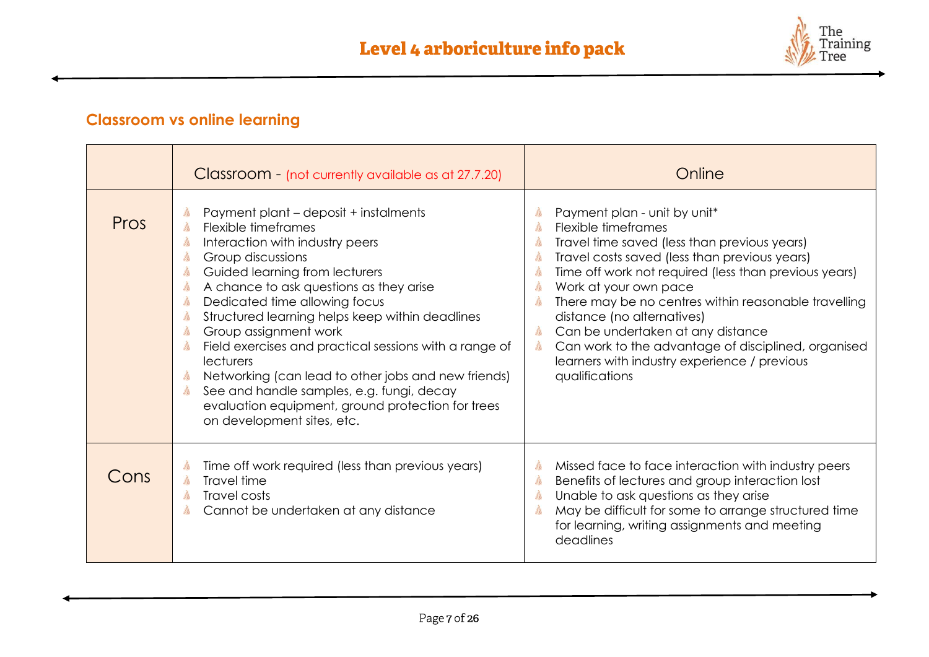

# **Classroom vs online learning**

<span id="page-6-0"></span>

|      | Classroom - (not currently available as at 27.7.20)                                                                                                                                                                                                                                                                                                                                                                                                                                                                                                                                                        | Online                                                                                                                                                                                                                                                                                                                                                                                                                                                                                     |
|------|------------------------------------------------------------------------------------------------------------------------------------------------------------------------------------------------------------------------------------------------------------------------------------------------------------------------------------------------------------------------------------------------------------------------------------------------------------------------------------------------------------------------------------------------------------------------------------------------------------|--------------------------------------------------------------------------------------------------------------------------------------------------------------------------------------------------------------------------------------------------------------------------------------------------------------------------------------------------------------------------------------------------------------------------------------------------------------------------------------------|
| Pros | Payment plant - deposit + instalments<br>Flexible timeframes<br>Interaction with industry peers<br>Group discussions<br>境<br>Guided learning from lecturers<br>境<br>A chance to ask questions as they arise<br>Dedicated time allowing focus<br>埃<br>Structured learning helps keep within deadlines<br>境<br>Group assignment work<br>Field exercises and practical sessions with a range of<br>境<br>lecturers<br>Networking (can lead to other jobs and new friends)<br>See and handle samples, e.g. fungi, decay<br>烽<br>evaluation equipment, ground protection for trees<br>on development sites, etc. | Payment plan - unit by unit*<br>Flexible timeframes<br>Travel time saved (less than previous years)<br>Travel costs saved (less than previous years)<br>Time off work not required (less than previous years)<br>Work at your own pace<br>There may be no centres within reasonable travelling<br>distance (no alternatives)<br>Can be undertaken at any distance<br>Can work to the advantage of disciplined, organised<br>learners with industry experience / previous<br>qualifications |
| Cons | Time off work required (less than previous years)<br>Travel time<br>虞<br>Travel costs<br>境<br>Cannot be undertaken at any distance                                                                                                                                                                                                                                                                                                                                                                                                                                                                         | Missed face to face interaction with industry peers<br>Benefits of lectures and group interaction lost<br>Unable to ask questions as they arise<br>May be difficult for some to arrange structured time<br>for learning, writing assignments and meeting<br>deadlines                                                                                                                                                                                                                      |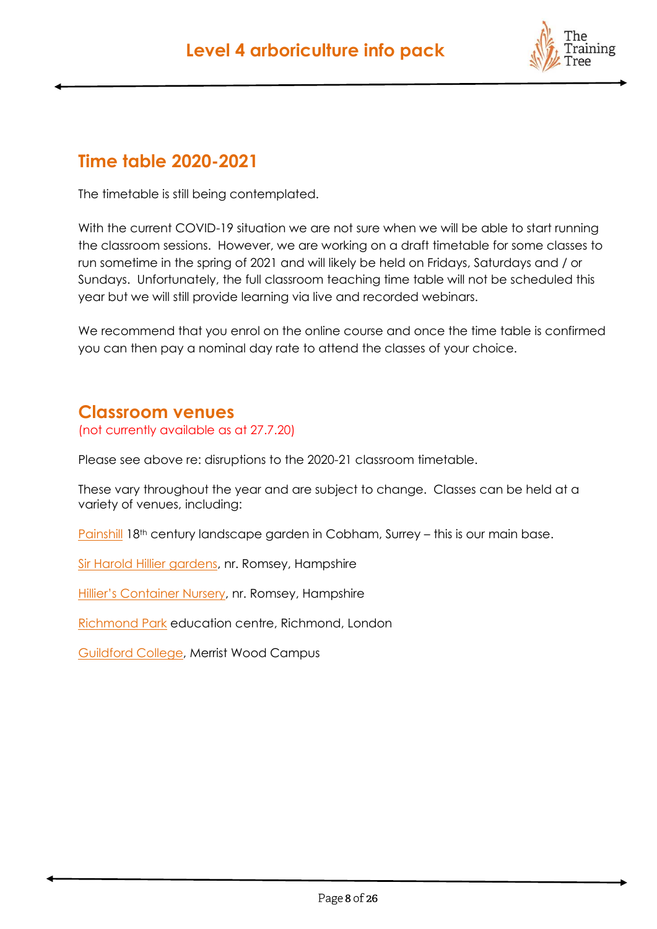

# <span id="page-7-0"></span>**Time table 2020-2021**

The timetable is still being contemplated.

With the current COVID-19 situation we are not sure when we will be able to start running the classroom sessions. However, we are working on a draft timetable for some classes to run sometime in the spring of 2021 and will likely be held on Fridays, Saturdays and / or Sundays. Unfortunately, the full classroom teaching time table will not be scheduled this year but we will still provide learning via live and recorded webinars.

We recommend that you enrol on the online course and once the time table is confirmed you can then pay a nominal day rate to attend the classes of your choice.

## <span id="page-7-1"></span>**Classroom venues**

(not currently available as at 27.7.20)

Please see above re: disruptions to the 2020-21 classroom timetable.

These vary throughout the year and are subject to change. Classes can be held at a variety of venues, including:

[Painshill](https://www.painshill.co.uk/) 18<sup>th</sup> century landscape garden in Cobham, Surrey – this is our main base.

[Sir Harold Hillier gardens,](https://www.hants.gov.uk/thingstodo/hilliergardens/) nr. Romsey, Hampshire

[Hillier's Container Nurse](https://www.hillier.co.uk/trees/)ry, nr. Romsey, Hampshire

[Richmond Park](https://www.royalparks.org.uk/parks/richmond-park) education centre, Richmond, London

[Guildford College,](https://www.merristwood.ac.uk/Home.aspx) Merrist Wood Campus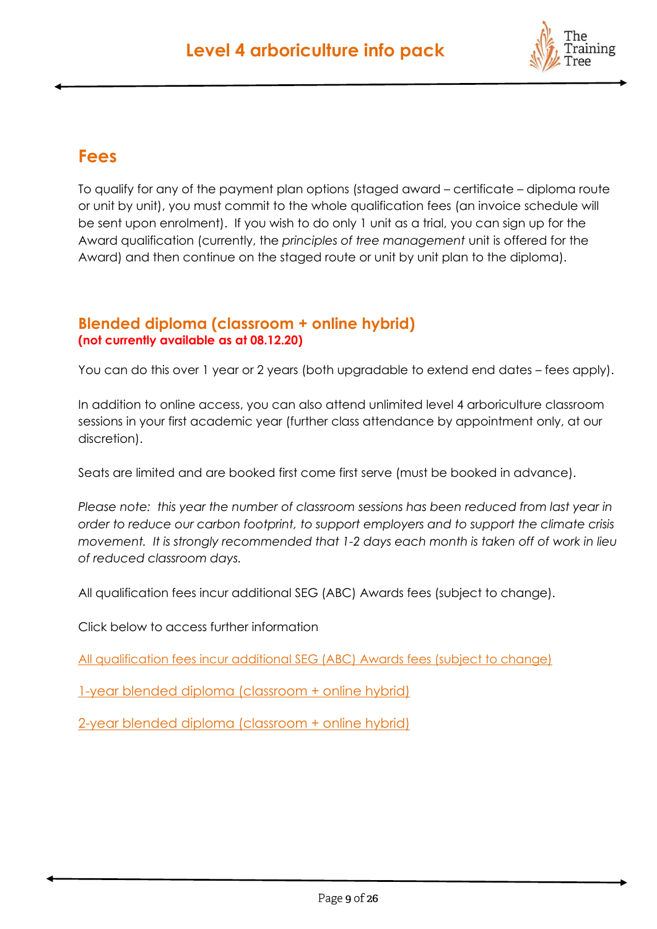

# <span id="page-8-0"></span>**Fees**

To qualify for any of the payment plan options (staged award – certificate – diploma route or unit by unit), you must commit to the whole qualification fees (an invoice schedule will be sent upon enrolment). If you wish to do only 1 unit as a trial, you can sign up for the Award qualification (currently, the *principles of tree management* unit is offered for the Award) and then continue on the staged route or unit by unit plan to the diploma).

### <span id="page-8-1"></span>**Blended diploma (classroom + online hybrid) (not currently available as at 08.12.20)**

You can do this over 1 year or 2 years (both upgradable to extend end dates – fees apply).

In addition to online access, you can also attend unlimited level 4 arboriculture classroom sessions in your first academic year (further class attendance by appointment only, at our discretion).

Seats are limited and are booked first come first serve (must be booked in advance).

*Please note: this year the number of classroom sessions has been reduced from last year in order to reduce our carbon footprint, to support employers and to support the climate crisis movement. It is strongly recommended that 1-2 days each month is taken off of work in lieu of reduced classroom days.* 

All qualification fees incur additional SEG (ABC) Awards fees (subject to change).

Click below to access further information

[All qualification fees incur additional SEG \(ABC\)](#page-9-0) Awards fees (subject to change)

[1-year blended diploma \(classroom + online hybrid\)](#page-11-0)

[2-year blended diploma \(classroom + online hybrid\)](#page-11-0)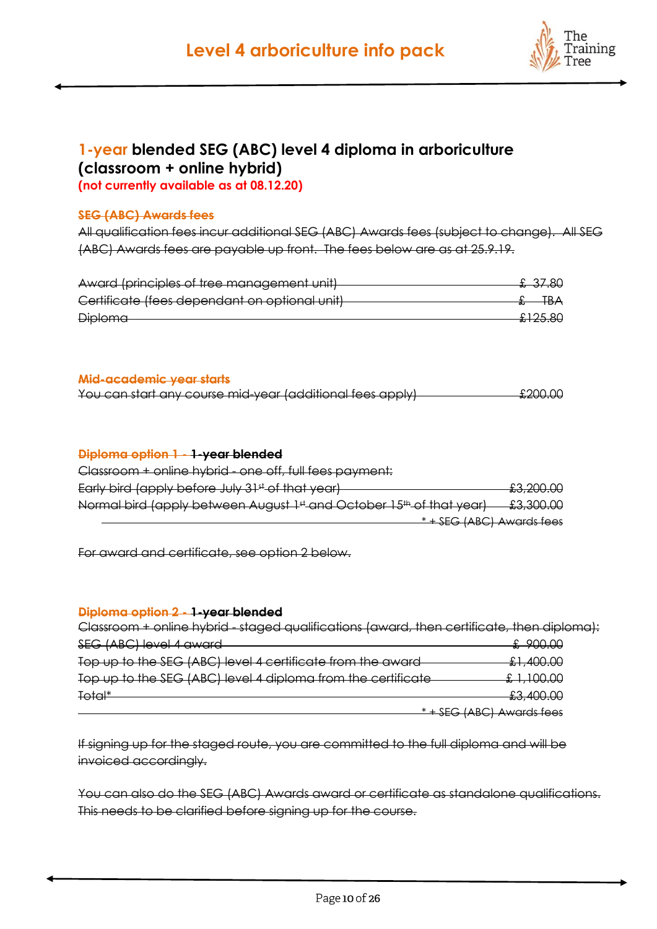

# **1-year blended SEG (ABC) level 4 diploma in arboriculture (classroom + online hybrid)**

**(not currently available as at 08.12.20)**

#### <span id="page-9-0"></span>**SEG (ABC) Awards fees**

All qualification fees incur additional SEG (ABC) Awards fees (subject to change). All SEG (ABC) Awards fees are payable up front. The fees below are as at 25.9.19.

| Award (principles of tree management unit)    | L 27.QO<br>w.v.              |    |
|-----------------------------------------------|------------------------------|----|
| Certificate (fees dependant on optional unit) |                              | 鳽⌒ |
| <b>Diploma</b>                                | $-2125.80$<br>$\overline{a}$ |    |

#### **Mid-academic year starts**

| You can start any course mid-year (additional fees apply)     |  | . ഹന വ                      |
|---------------------------------------------------------------|--|-----------------------------|
| <u>the contract any component your passence is contracted</u> |  | $\overline{\text{w200.00}}$ |

#### **Diploma option 1 - 1-year blended**

| Classroom + online hybrid - one off, full fees payment:                          |           |
|----------------------------------------------------------------------------------|-----------|
| Early bird (apply before July 31 <sup>st</sup> of that year)                     | £3,200.00 |
| Normal bird (apply between August 1st and October 15 <sup>th</sup> of that year) | £3,300.00 |
| <b>* + SEG (ABC) Awards fees</b>                                                 |           |

For award and certificate, see option 2 below.

#### **Diploma option 2 - 1-year blended**

| Classroom + online hybrid - staged qualifications (award, then certificate, then diploma): |                                  |
|--------------------------------------------------------------------------------------------|----------------------------------|
| <b>SEG (ABC) level 4 award</b>                                                             | £ 900.00                         |
| Top up to the SEG (ABC) level 4 certificate from the award-                                | £1,400.00                        |
| Top up to the SEG (ABC) level 4 diploma from the certificate                               | <del>. 1,100.00</del>            |
| <del>Total*</del>                                                                          | £3,400.00                        |
|                                                                                            | <u>* + SEG (ABC) Awards fees</u> |

If signing up for the staged route, you are committed to the full diploma and will be invoiced accordingly.

You can also do the SEG (ABC) Awards award or certificate as standalone qualifications. This needs to be clarified before signing up for the course.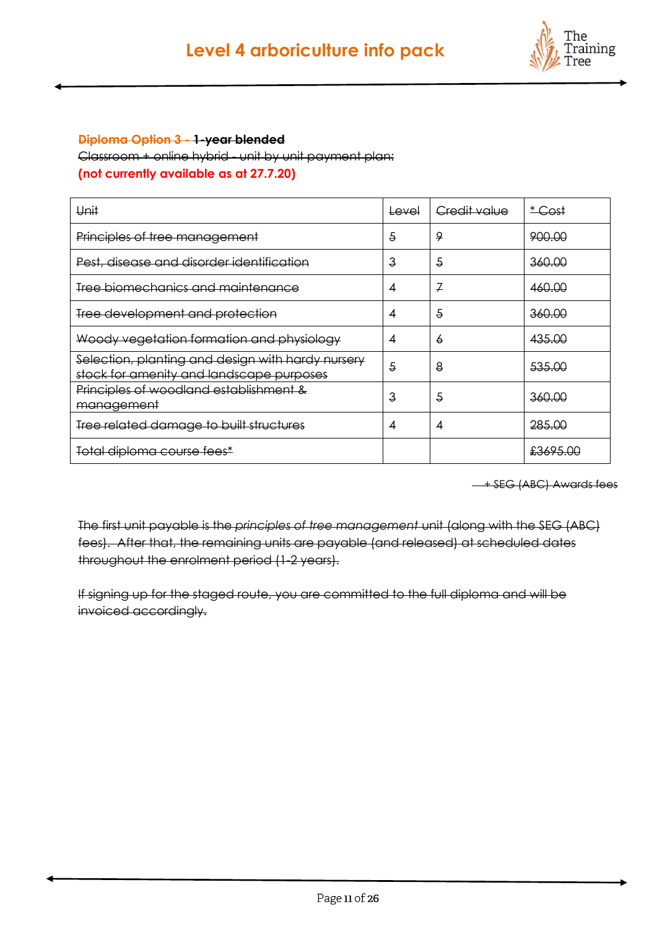

#### **Diploma Option 3 - 1-year blended**

Classroom + online hybrid - unit by unit payment plan: **(not currently available as at 27.7.20)**

| Unit                                                                                          | <del>Level</del> | <del>Credit value</del> | $*$ Cost          |
|-----------------------------------------------------------------------------------------------|------------------|-------------------------|-------------------|
| Principles of tree management                                                                 | $\overline{5}$   | 9                       | 900.00            |
| Pest, disease and disorder identification                                                     | $\mathbf{3}$     | $\overline{5}$          | 360.00            |
| <u>Tree biomechanics and maintenance</u>                                                      | 4                | 7                       | 460.00            |
| Tree development and protection                                                               | 4                | $\overline{5}$          | 360.00            |
| Woody vegetation formation and physiology                                                     | 4                | 6                       | 435.00            |
| Selection, planting and design with hardy nursery<br>stock for amenity and landscape purposes | $\overline{5}$   | 8                       | 535.00            |
| Principles of woodland establishment &<br><del>management</del>                               | 3                | 5                       | 360.00            |
| Tree related damage to built structures                                                       | 4                | 4                       | <del>285.00</del> |
| Total diploma course fees*                                                                    |                  |                         | £3695.00          |

+ SEG (ABC) Awards fees

The first unit payable is the *principles of tree management* unit (along with the SEG (ABC) fees). After that, the remaining units are payable (and released) at scheduled dates throughout the enrolment period (1-2 years).

If signing up for the staged route, you are committed to the full diploma and will be invoiced accordingly.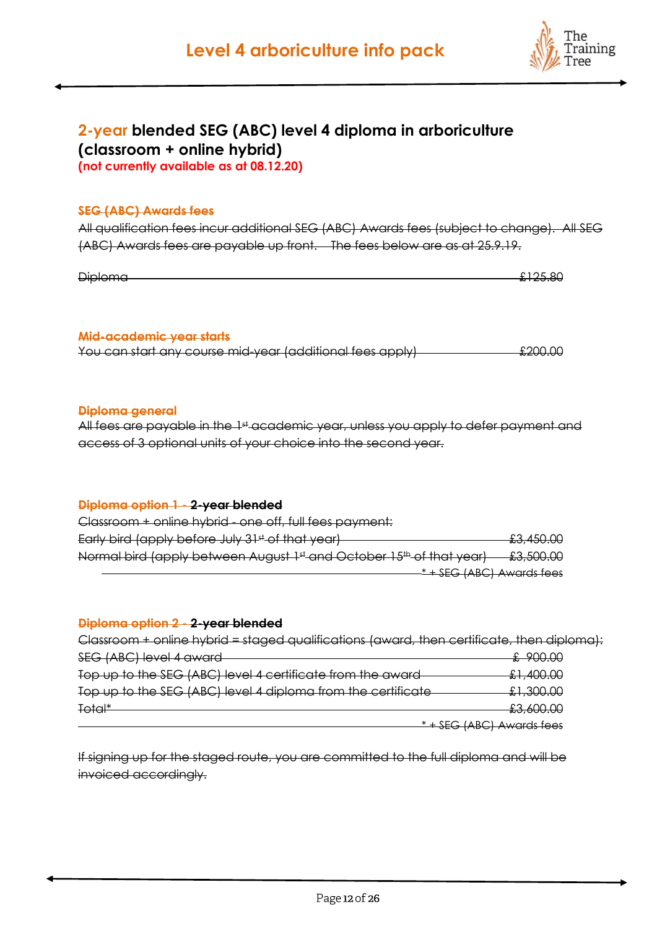

# <span id="page-11-0"></span>**2-year blended SEG (ABC) level 4 diploma in arboriculture (classroom + online hybrid)**

**(not currently available as at 08.12.20)**

#### **SEG (ABC) Awards fees**

All qualification fees incur additional SEG (ABC) Awards fees (subject to change). All SEG (ABC) Awards fees are payable up front. The fees below are as at 25.9.19.

Diploma £125.80

**Mid-academic year starts** You can start any course mid-year (additional fees apply)  $\qquad \qquad \text{\pounds}200.00$ 

**Diploma general**

All fees are payable in the 1st academic year, unless you apply to defer payment and access of 3 optional units of your choice into the second year.

#### **Diploma option 1 - 2-year blended**

Classroom + online hybrid - one off, full fees payment: Early bird (apply before July 31st of that year)  $\frac{23,450.00}{2}$ Normal bird (apply between August 1st and October 15th of that year)  $\frac{23,500.00}{20}$ \* + SEG (ABC) Awards fees

#### **Diploma option 2 - 2-year blended**

| Classroom + online hybrid = staged qualifications (award, then certificate, then diploma): |                                  |
|--------------------------------------------------------------------------------------------|----------------------------------|
| <b>SEG (ABC) level 4 award-</b>                                                            | £900.00                          |
| Top up to the SEG (ABC) level 4 certificate from the award                                 | £1,400.00                        |
| Top up to the SEG (ABC) level 4 diploma from the certificate                               | £1,300.00                        |
| Total*                                                                                     | £3,600.00                        |
|                                                                                            | <u>* + SEG (ABC) Awards fees</u> |

If signing up for the staged route, you are committed to the full diploma and will be invoiced accordingly.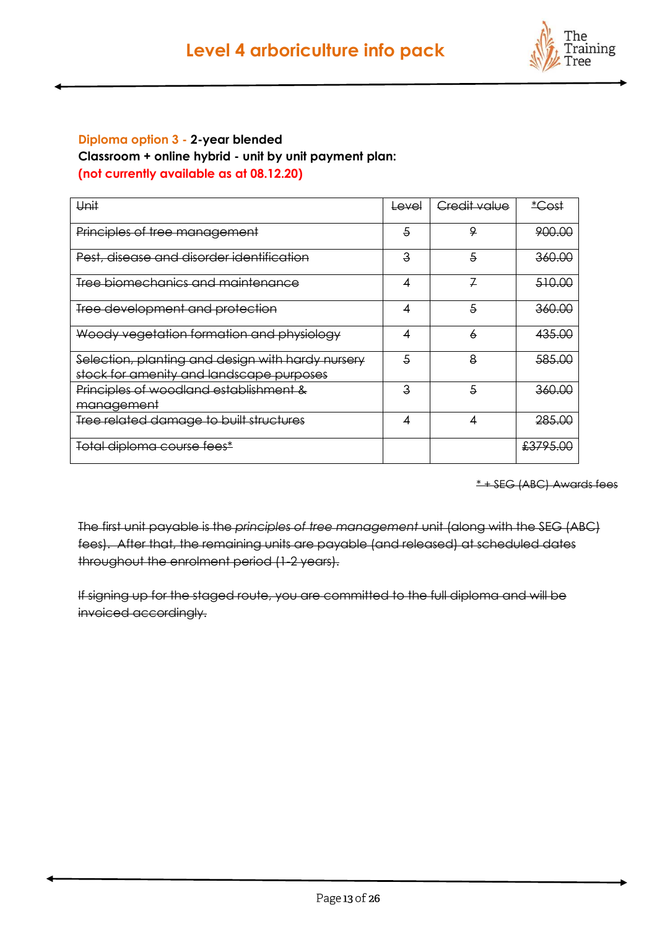

#### **Diploma option 3 - 2-year blended Classroom + online hybrid - unit by unit payment plan: (not currently available as at 08.12.20)**

| Unit                                                                                          | <del>Level</del> | <del>Credit value</del> | * <del>Cost</del> |
|-----------------------------------------------------------------------------------------------|------------------|-------------------------|-------------------|
| Principles of tree management                                                                 | 5                | 9                       | 900.00            |
| Pest, disease and disorder identification                                                     | З                | 5                       | 360.00            |
| Tree biomechanics and maintenance                                                             | 4                |                         | 510.00            |
| Tree development and protection                                                               | 4                | 5                       | 360.00            |
| Woody vegetation formation and physiology                                                     | 4                | 6                       | 435.00            |
| Selection, planting and design with hardy nursery<br>stock for amenity and landscape purposes | 5                | 8                       | 585.00            |
| Principles of woodland establishment &<br><del>management</del>                               | З                | $\overline{5}$          | 360.00            |
| Tree related damage to built structures                                                       | 4                |                         | <del>285.00</del> |
| Total diploma course fees*                                                                    |                  |                         | £3795.00          |

\* + SEG (ABC) Awards fees

The first unit payable is the *principles of tree management* unit (along with the SEG (ABC) fees). After that, the remaining units are payable (and released) at scheduled dates throughout the enrolment period (1-2 years).

If signing up for the staged route, you are committed to the full diploma and will be invoiced accordingly.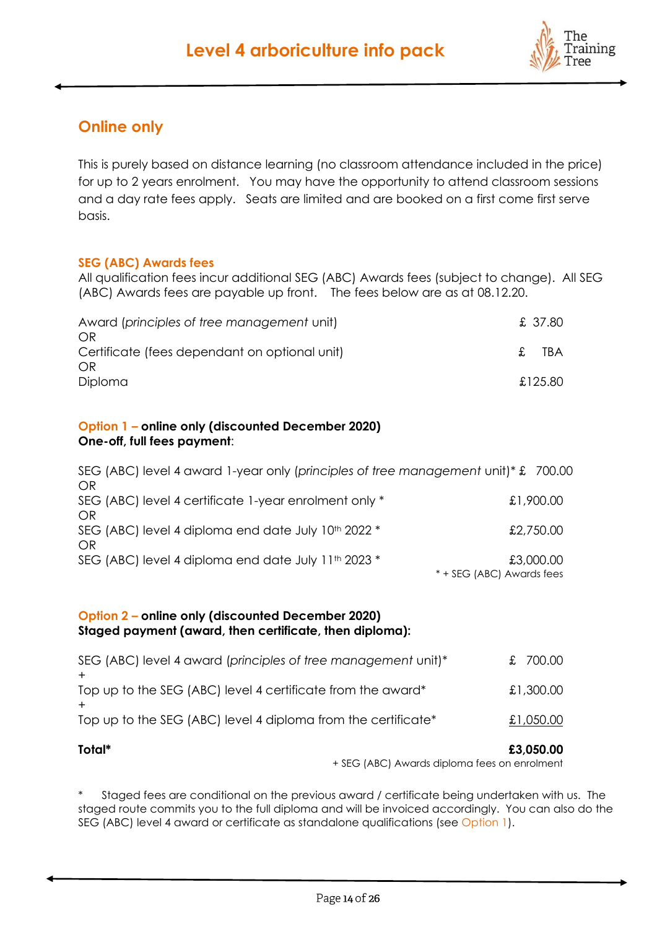

## <span id="page-13-0"></span>**Online only**

This is purely based on distance learning (no classroom attendance included in the price) for up to 2 years enrolment. You may have the opportunity to attend classroom sessions and a day rate fees apply. Seats are limited and are booked on a first come first serve basis.

#### **SEG (ABC) Awards fees**

All qualification fees incur additional SEG (ABC) Awards fees (subject to change). All SEG (ABC) Awards fees are payable up front. The fees below are as at 08.12.20.

| Award (principles of tree management unit)    |  | £ 37.80 |
|-----------------------------------------------|--|---------|
| OR                                            |  |         |
| Certificate (fees dependant on optional unit) |  | TBA     |
| OR.                                           |  |         |
| <b>Diploma</b>                                |  | £125.80 |
|                                               |  |         |

#### **Option 1 – online only (discounted December 2020) One-off, full fees payment**:

| SEG (ABC) level 4 award 1-year only (principles of tree management unit)* £ 700.00 |                           |
|------------------------------------------------------------------------------------|---------------------------|
| OR                                                                                 |                           |
| SEG (ABC) level 4 certificate 1-year enrolment only *                              | £1,900.00                 |
| OR                                                                                 |                           |
| SEG (ABC) level 4 diploma end date July 10 <sup>th</sup> 2022 *                    | £2,750.00                 |
| OR                                                                                 |                           |
| SEG (ABC) level 4 diploma end date July 11 <sup>th</sup> 2023 *                    | £3,000.00                 |
|                                                                                    | * + SEG (ABC) Awards fees |

#### **Option 2 – online only (discounted December 2020) Staged payment (award, then certificate, then diploma):**

| SEG (ABC) level 4 award (principles of tree management unit)* | £ 700.00  |
|---------------------------------------------------------------|-----------|
| Top up to the SEG (ABC) level 4 certificate from the award*   | £1,300.00 |
| Top up to the SEG (ABC) level 4 diploma from the certificate* | £1,050.00 |

#### **Total\* £3,050.00**

+ SEG (ABC) Awards diploma fees on enrolment

Staged fees are conditional on the previous award / certificate being undertaken with us. The staged route commits you to the full diploma and will be invoiced accordingly. You can also do the SEG (ABC) level 4 award or certificate as standalone qualifications (see Option 1).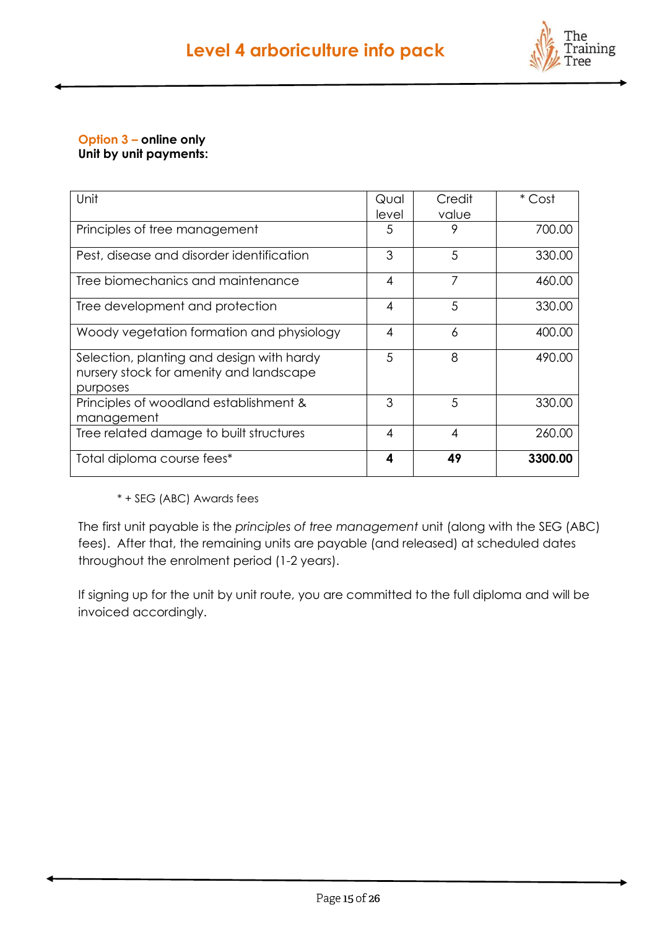

#### **Option 3 – online only Unit by unit payments:**

| Unit                                                                                             | Qual  | Credit         | * Cost  |
|--------------------------------------------------------------------------------------------------|-------|----------------|---------|
|                                                                                                  | level | value          |         |
| Principles of tree management                                                                    | 5     | 9              | 700.00  |
| Pest, disease and disorder identification                                                        | 3     | 5              | 330.00  |
| Tree biomechanics and maintenance                                                                | 4     | 7              | 460.00  |
| Tree development and protection                                                                  | 4     | 5              | 330.00  |
| Woody vegetation formation and physiology                                                        | 4     | 6              | 400.00  |
| Selection, planting and design with hardy<br>nursery stock for amenity and landscape<br>purposes | 5     | 8              | 490.00  |
| Principles of woodland establishment &<br>management                                             | 3     | 5              | 330.00  |
| Tree related damage to built structures                                                          | 4     | $\overline{4}$ | 260.00  |
| Total diploma course fees*                                                                       | Δ     | 49             | 3300.00 |

\* + SEG (ABC) Awards fees

The first unit payable is the *principles of tree management* unit (along with the SEG (ABC) fees). After that, the remaining units are payable (and released) at scheduled dates throughout the enrolment period (1-2 years).

If signing up for the unit by unit route, you are committed to the full diploma and will be invoiced accordingly.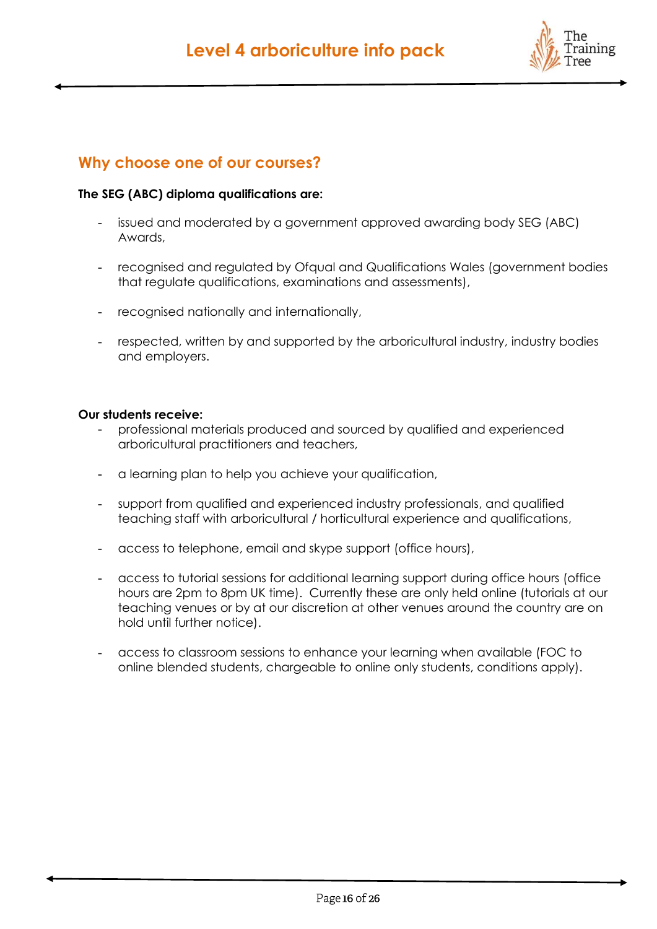

### <span id="page-15-0"></span>**Why choose one of our courses?**

#### **The SEG (ABC) diploma qualifications are:**

- issued and moderated by a government approved awarding body SEG (ABC) Awards,
- recognised and regulated by Ofqual and Qualifications Wales (government bodies that regulate qualifications, examinations and assessments),
- recognised nationally and internationally,
- respected, written by and supported by the arboricultural industry, industry bodies and employers.

#### **Our students receive:**

- professional materials produced and sourced by qualified and experienced arboricultural practitioners and teachers,
- a learning plan to help you achieve your qualification,
- support from qualified and experienced industry professionals, and qualified teaching staff with arboricultural / horticultural experience and qualifications,
- access to telephone, email and skype support (office hours),  $\equiv$
- access to tutorial sessions for additional learning support during office hours (office hours are 2pm to 8pm UK time). Currently these are only held online (tutorials at our teaching venues or by at our discretion at other venues around the country are on hold until further notice).
- access to classroom sessions to enhance your learning when available (FOC to online blended students, chargeable to online only students, conditions apply).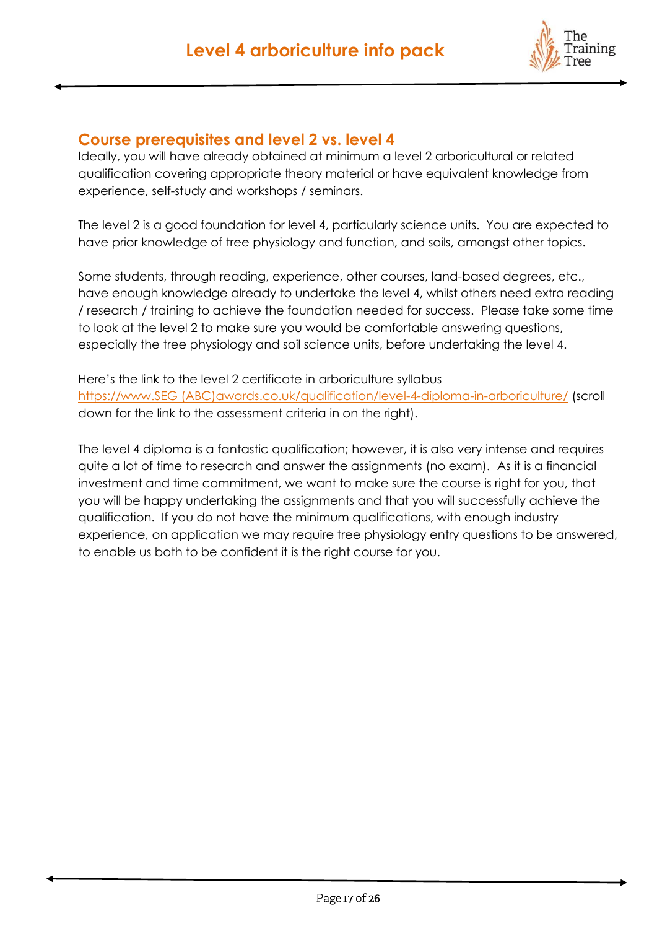

### <span id="page-16-0"></span>**Course prerequisites and level 2 vs. level 4**

Ideally, you will have already obtained at minimum a level 2 arboricultural or related qualification covering appropriate theory material or have equivalent knowledge from experience, self-study and workshops / seminars.

The level 2 is a good foundation for level 4, particularly science units. You are expected to have prior knowledge of tree physiology and function, and soils, amongst other topics.

Some students, through reading, experience, other courses, land-based degrees, etc., have enough knowledge already to undertake the level 4, whilst others need extra reading / research / training to achieve the foundation needed for success. Please take some time to look at the level 2 to make sure you would be comfortable answering questions, especially the tree physiology and soil science units, before undertaking the level 4.

Here's the link to the level 2 certificate in arboriculture syllabus [https://www.SEG \(ABC\)awards.co.uk/qualification/level-4-diploma-in-arboriculture/](https://www.abcawards.co.uk/qualification/level-4-diploma-in-arboriculture/) (scroll down for the link to the assessment criteria in on the right).

The level 4 diploma is a fantastic qualification; however, it is also very intense and requires quite a lot of time to research and answer the assignments (no exam). As it is a financial investment and time commitment, we want to make sure the course is right for you, that you will be happy undertaking the assignments and that you will successfully achieve the qualification. If you do not have the minimum qualifications, with enough industry experience, on application we may require tree physiology entry questions to be answered, to enable us both to be confident it is the right course for you.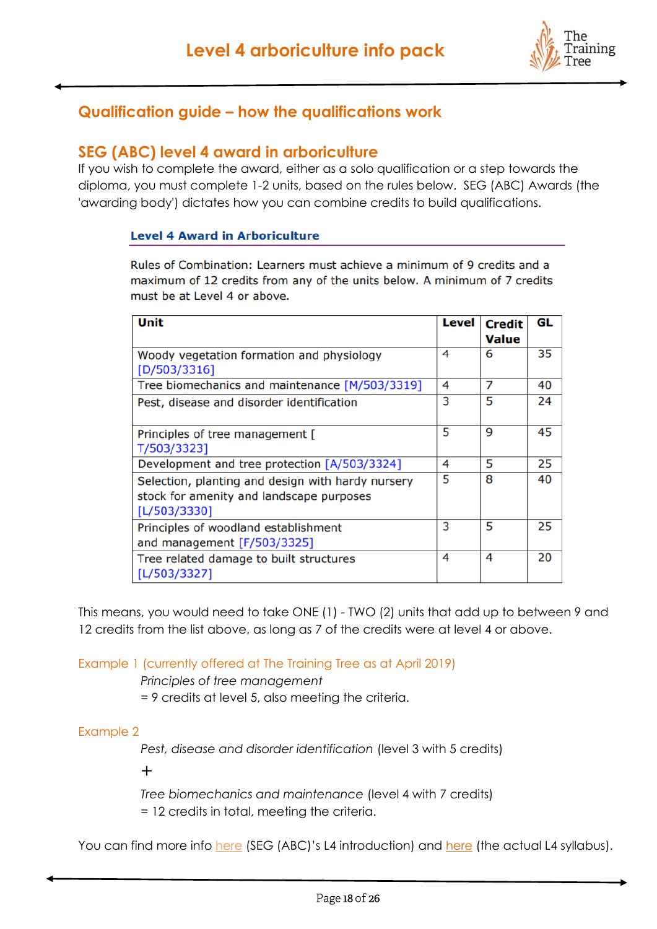

# <span id="page-17-0"></span>**Qualification guide – how the qualifications work**

### <span id="page-17-1"></span>**SEG (ABC) level 4 award in arboriculture**

If you wish to complete the award, either as a solo qualification or a step towards the diploma, you must complete 1-2 units, based on the rules below. SEG (ABC) Awards (the 'awarding body') dictates how you can combine credits to build qualifications.

#### **Level 4 Award in Arboriculture**

Rules of Combination: Learners must achieve a minimum of 9 credits and a maximum of 12 credits from any of the units below. A minimum of 7 credits must be at Level 4 or above.

| Unit                                              | <b>Level</b> | <b>Credit</b> | GL |
|---------------------------------------------------|--------------|---------------|----|
|                                                   |              | <b>Value</b>  |    |
| Woody vegetation formation and physiology         | 4            | 6             | 35 |
| [D/503/3316]                                      |              |               |    |
| Tree biomechanics and maintenance [M/503/3319]    | 4            | 7             | 40 |
| Pest, disease and disorder identification         | 3            | 5             | 24 |
|                                                   |              |               |    |
| Principles of tree management [                   | 5            | 9             | 45 |
| T/503/3323]                                       |              |               |    |
| Development and tree protection [A/503/3324]      | 4            | 5             | 25 |
| Selection, planting and design with hardy nursery | 5            | 8             | 40 |
| stock for amenity and landscape purposes          |              |               |    |
| [L/503/3330]                                      |              |               |    |
| Principles of woodland establishment              | 3            | 5             | 25 |
| and management [F/503/3325]                       |              |               |    |
| Tree related damage to built structures           | 4            | 4             | 20 |
| [L/503/3327]                                      |              |               |    |
|                                                   |              |               |    |

This means, you would need to take ONE (1) - TWO (2) units that add up to between 9 and 12 credits from the list above, as long as 7 of the credits were at level 4 or above.

Example 1 (currently offered at The Training Tree as at April 2019)

*Principles of tree management*

= 9 credits at level 5, also meeting the criteria.

#### Example 2

*Pest, disease and disorder identification* (level 3 with 5 credits)

 $+$ 

*Tree biomechanics and maintenance* (level 4 with 7 credits) = 12 credits in total, meeting the criteria.

You can find more info [here](https://skillsandeducationgroupawards.co.uk/wp-content/uploads/Qualifications/1466-TOP-10__Qualification%20Guide.pdf) (SEG (ABC)'s L4 introduction) and here (the actual L4 syllabus).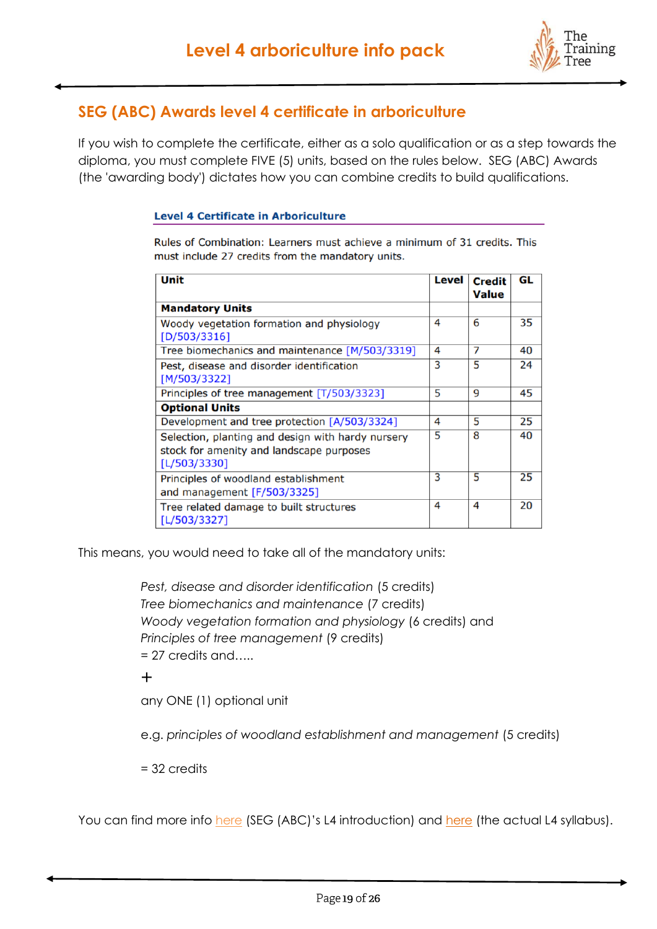

# <span id="page-18-0"></span>**SEG (ABC) Awards level 4 certificate in arboriculture**

If you wish to complete the certificate, either as a solo qualification or as a step towards the diploma, you must complete FIVE (5) units, based on the rules below. SEG (ABC) Awards (the 'awarding body') dictates how you can combine credits to build qualifications.

#### **Level 4 Certificate in Arboriculture**

Rules of Combination: Learners must achieve a minimum of 31 credits. This must include 27 credits from the mandatory units.

| Unit                                                                                                          | Level | <b>Credit</b><br><b>Value</b> | GL |
|---------------------------------------------------------------------------------------------------------------|-------|-------------------------------|----|
| <b>Mandatory Units</b>                                                                                        |       |                               |    |
| Woody vegetation formation and physiology<br>[D/503/3316]                                                     | 4     | 6                             | 35 |
| Tree biomechanics and maintenance [M/503/3319]                                                                | 4     | 7                             | 40 |
| Pest, disease and disorder identification<br>[M/503/3322]                                                     | 3     | 5                             | 24 |
| Principles of tree management [T/503/3323]                                                                    | 5     | 9                             | 45 |
| <b>Optional Units</b>                                                                                         |       |                               |    |
| Development and tree protection [A/503/3324]                                                                  | 4     | 5                             | 25 |
| Selection, planting and design with hardy nursery<br>stock for amenity and landscape purposes<br>[L/503/3330] | 5     | 8                             | 40 |
| Principles of woodland establishment<br>and management [F/503/3325]                                           | 3     | 5                             | 25 |
| Tree related damage to built structures<br>[L/503/3327]                                                       | 4     | 4                             | 20 |

This means, you would need to take all of the mandatory units:

*Pest, disease and disorder identification* (5 credits) *Tree biomechanics and maintenance* (7 credits) *Woody vegetation formation and physiology* (6 credits) and *Principles of tree management* (9 credits) = 27 credits and…..

+

any ONE (1) optional unit

e.g. *principles of woodland establishment and management* (5 credits)

= 32 credits

You can find more info [here](https://skillsandeducationgroupawards.co.uk/wp-content/uploads/Qualifications/1466-TOP-10__Qualification%20Guide.pdf) (SEG (ABC)'s L4 introduction) and here (the actual L4 syllabus).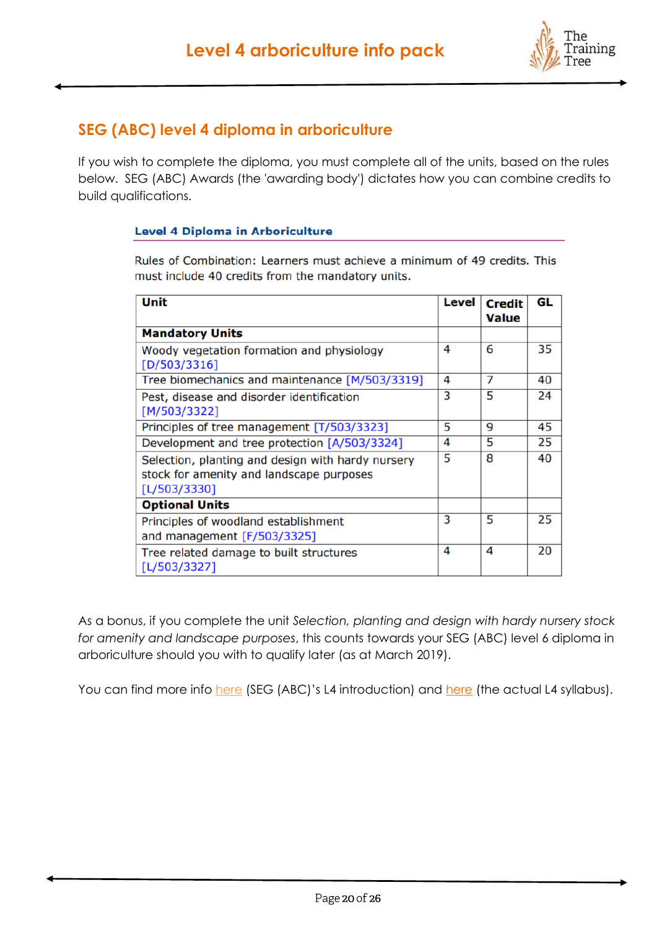

# <span id="page-19-0"></span>**SEG (ABC) level 4 diploma in arboriculture**

If you wish to complete the diploma, you must complete all of the units, based on the rules below. SEG (ABC) Awards (the 'awarding body') dictates how you can combine credits to build qualifications.

#### **Level 4 Diploma in Arboriculture**

Rules of Combination: Learners must achieve a minimum of 49 credits. This must include 40 credits from the mandatory units.

| <b>Unit</b>                                                                                                   | Level | <b>Credit</b><br><b>Value</b> | GL |
|---------------------------------------------------------------------------------------------------------------|-------|-------------------------------|----|
| <b>Mandatory Units</b>                                                                                        |       |                               |    |
| Woody vegetation formation and physiology<br>[D/503/3316]                                                     | 4     | 6                             | 35 |
| Tree biomechanics and maintenance [M/503/3319]                                                                | 4     | 7                             | 40 |
| Pest, disease and disorder identification<br>[M/503/3322]                                                     | 3     | 5                             | 24 |
| Principles of tree management [T/503/3323]                                                                    | 5     | 9                             | 45 |
| Development and tree protection [A/503/3324]                                                                  | 4     | 5                             | 25 |
| Selection, planting and design with hardy nursery<br>stock for amenity and landscape purposes<br>[L/503/3330] | 5     | 8                             | 40 |
| <b>Optional Units</b>                                                                                         |       |                               |    |
| Principles of woodland establishment<br>and management [F/503/3325]                                           | 3     | 5                             | 25 |
| Tree related damage to built structures<br>[L/503/3327]                                                       | 4     | 4                             | 20 |

As a bonus, if you complete the unit *Selection, planting and design with hardy nursery stock for amenity and landscape purposes*, this counts towards your SEG (ABC) level 6 diploma in arboriculture should you with to qualify later (as at March 2019).

You can find more info [here](https://skillsandeducationgroupawards.co.uk/wp-content/uploads/Qualifications/1466-TOP-10__Qualification%20Guide.pdf) (SEG (ABC)'s L4 introduction) and here (the actual L4 syllabus).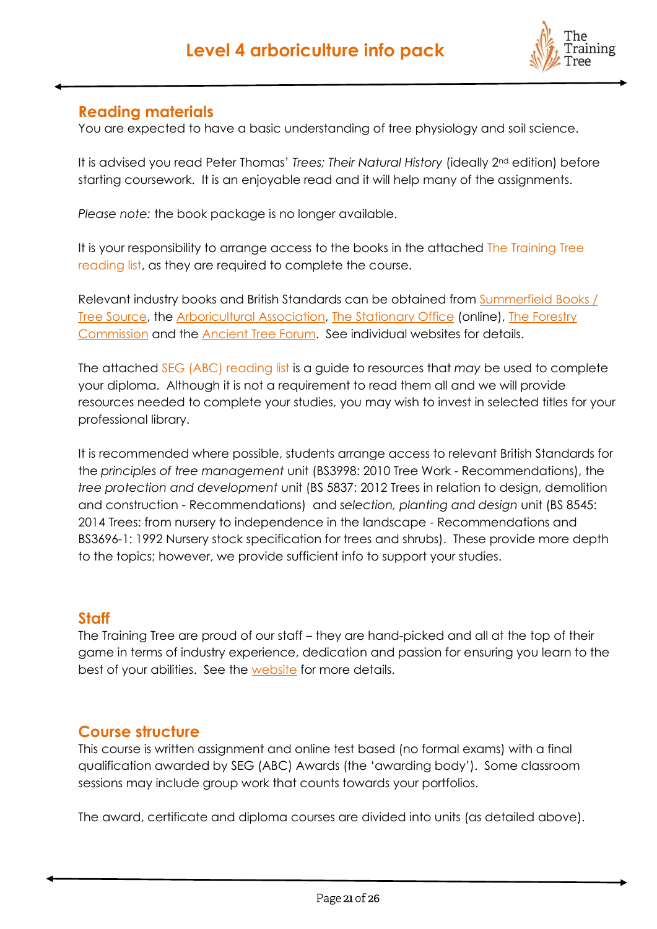

### <span id="page-20-0"></span>**Reading materials**

You are expected to have a basic understanding of tree physiology and soil science.

It is advised you read Peter Thomas' *Trees; Their Natural History* (ideally 2nd edition) before starting coursework. It is an enjoyable read and it will help many of the assignments.

*Please note:* the book package is no longer available.

It is your responsibility to arrange access to the books in the attached The Training Tree reading list, as they are required to complete the course.

Relevant industry books and British Standards can be obtained from [Summerfield Books /](http://treesource.co.uk/)  [Tree Source,](http://treesource.co.uk/) the [Arboricultural Association,](https://www.trees.org.uk/Book-Shop) [The Stationary Office](https://www.tsoshop.co.uk/) (online), The Forestry [Commission](https://www.gov.uk/government/organisations/forestry-commission) and the [Ancient Tree Forum.](http://www.ancienttreeforum.co.uk/) See individual websites for details.

The attached SEG (ABC) reading list is a guide to resources that *may* be used to complete your diploma. Although it is not a requirement to read them all and we will provide resources needed to complete your studies, you may wish to invest in selected titles for your professional library.

It is recommended where possible, students arrange access to relevant British Standards for the *principles of tree management* unit (BS3998: 2010 Tree Work - Recommendations), the *tree protection and development* unit (BS 5837: 2012 Trees in relation to design, demolition and construction - Recommendations) and *selection, planting and design* unit (BS 8545: 2014 Trees: from nursery to independence in the landscape - Recommendations and BS3696-1: 1992 Nursery stock specification for trees and shrubs). These provide more depth to the topics; however, we provide sufficient info to support your studies.

#### <span id="page-20-1"></span>**Staff**

The Training Tree are proud of our staff – they are hand-picked and all at the top of their game in terms of industry experience, dedication and passion for ensuring you learn to the best of your abilities. See the [website](https://www.thetrainingtree.co.uk/ourpeople) for more details.

### <span id="page-20-2"></span>**Course structure**

This course is written assignment and online test based (no formal exams) with a final qualification awarded by SEG (ABC) Awards (the 'awarding body'). Some classroom sessions may include group work that counts towards your portfolios.

The award, certificate and diploma courses are divided into units (as detailed above).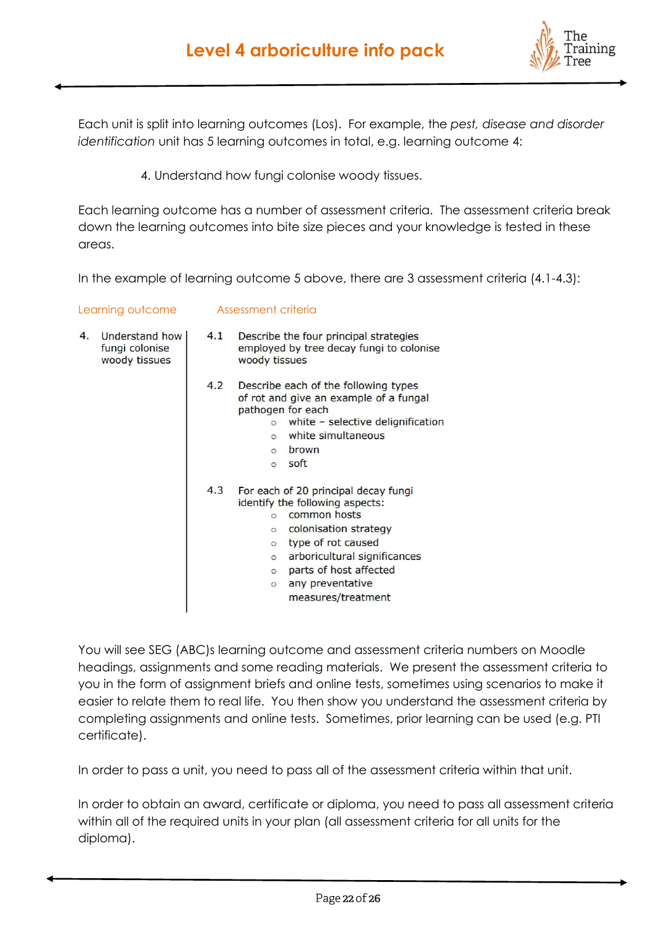

Each unit is split into learning outcomes (Los). For example, the *pest, disease and disorder identification* unit has 5 learning outcomes in total, e.g. learning outcome 4:

4. Understand how fungi colonise woody tissues.

Each learning outcome has a number of assessment criteria. The assessment criteria break down the learning outcomes into bite size pieces and your knowledge is tested in these areas.

In the example of learning outcome 5 above, there are 3 assessment criteria (4.1-4.3):

Learning outcome Assessment criteria

| 4. | Understand how<br>fungi colonise<br>woody tissues | 4.1 | Describe the four principal strategies<br>employed by tree decay fungi to colonise<br>woody tissues                                                                                                                                                                                                            |
|----|---------------------------------------------------|-----|----------------------------------------------------------------------------------------------------------------------------------------------------------------------------------------------------------------------------------------------------------------------------------------------------------------|
|    |                                                   | 4.2 | Describe each of the following types<br>of rot and give an example of a fungal<br>pathogen for each<br>white - selective delignification<br>$\Omega$<br>white simultaneous<br>$\Omega$<br>brown<br>$\circ$<br>soft<br>$\circ$                                                                                  |
|    |                                                   | 4.3 | For each of 20 principal decay fungi<br>identify the following aspects:<br>common hosts<br>$\Omega$<br>colonisation strategy<br>$\circ$<br>type of rot caused<br>$\circ$<br>arboricultural significances<br>$\circ$<br>parts of host affected<br>$\Omega$<br>any preventative<br>$\circ$<br>measures/treatment |

You will see SEG (ABC)s learning outcome and assessment criteria numbers on Moodle headings, assignments and some reading materials. We present the assessment criteria to you in the form of assignment briefs and online tests, sometimes using scenarios to make it easier to relate them to real life. You then show you understand the assessment criteria by completing assignments and online tests. Sometimes, prior learning can be used (e.g. PTI certificate).

In order to pass a unit, you need to pass all of the assessment criteria within that unit.

In order to obtain an award, certificate or diploma, you need to pass all assessment criteria within all of the required units in your plan (all assessment criteria for all units for the diploma).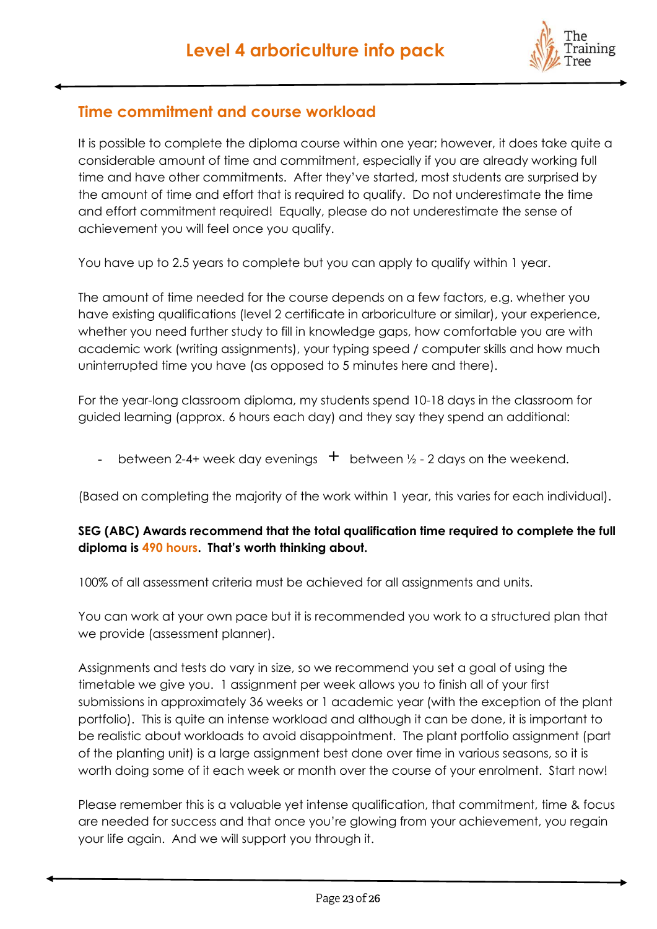

### <span id="page-22-0"></span>**Time commitment and course workload**

It is possible to complete the diploma course within one year; however, it does take quite a considerable amount of time and commitment, especially if you are already working full time and have other commitments. After they've started, most students are surprised by the amount of time and effort that is required to qualify. Do not underestimate the time and effort commitment required! Equally, please do not underestimate the sense of achievement you will feel once you qualify.

You have up to 2.5 years to complete but you can apply to qualify within 1 year.

The amount of time needed for the course depends on a few factors, e.g. whether you have existing qualifications (level 2 certificate in arboriculture or similar), your experience, whether you need further study to fill in knowledge gaps, how comfortable you are with academic work (writing assignments), your typing speed / computer skills and how much uninterrupted time you have (as opposed to 5 minutes here and there).

For the year-long classroom diploma, my students spend 10-18 days in the classroom for guided learning (approx. 6 hours each day) and they say they spend an additional:

between 2-4+ week day evenings  $+$  between  $\frac{1}{2}$  - 2 days on the weekend.  $\sim$ 

(Based on completing the majority of the work within 1 year, this varies for each individual).

#### **SEG (ABC) Awards recommend that the total qualification time required to complete the full diploma is 490 hours. That's worth thinking about.**

100% of all assessment criteria must be achieved for all assignments and units.

You can work at your own pace but it is recommended you work to a structured plan that we provide (assessment planner).

Assignments and tests do vary in size, so we recommend you set a goal of using the timetable we give you. 1 assignment per week allows you to finish all of your first submissions in approximately 36 weeks or 1 academic year (with the exception of the plant portfolio). This is quite an intense workload and although it can be done, it is important to be realistic about workloads to avoid disappointment. The plant portfolio assignment (part of the planting unit) is a large assignment best done over time in various seasons, so it is worth doing some of it each week or month over the course of your enrolment. Start now!

Please remember this is a valuable yet intense qualification, that commitment, time & focus are needed for success and that once you're glowing from your achievement, you regain your life again. And we will support you through it.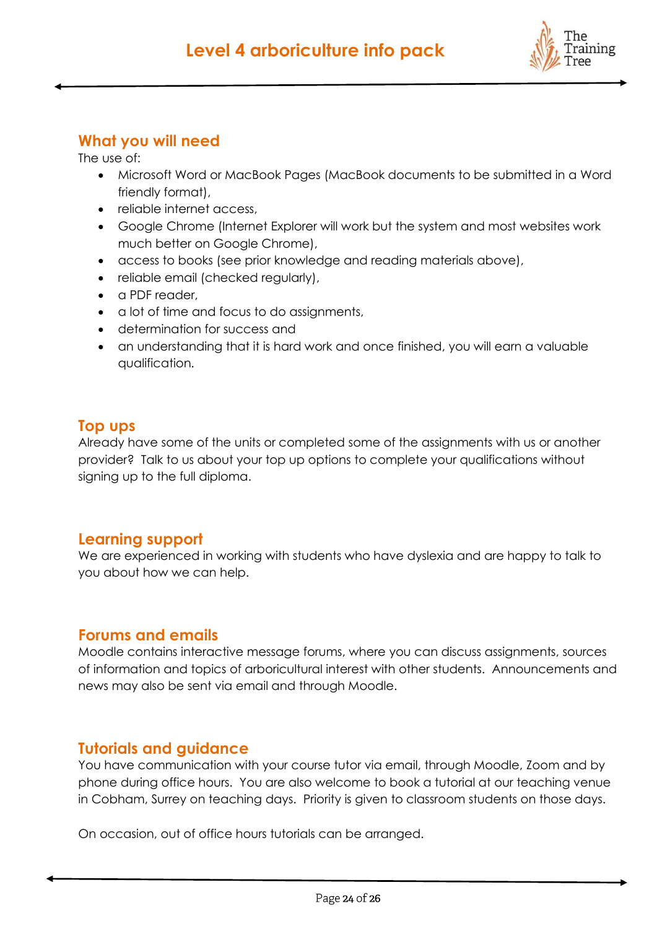

### <span id="page-23-0"></span>**What you will need**

The use of:

- Microsoft Word or MacBook Pages (MacBook documents to be submitted in a Word friendly format),
- reliable internet access,
- Google Chrome (Internet Explorer will work but the system and most websites work much better on Google Chrome),
- access to books (see prior knowledge and reading materials above),
- reliable email (checked regularly),
- a PDF reader,
- a lot of time and focus to do assignments,
- determination for success and
- an understanding that it is hard work and once finished, you will earn a valuable qualification.

## <span id="page-23-1"></span>**Top ups**

Already have some of the units or completed some of the assignments with us or another provider? Talk to us about your top up options to complete your qualifications without signing up to the full diploma.

#### <span id="page-23-2"></span>**Learning support**

We are experienced in working with students who have dyslexia and are happy to talk to you about how we can help.

#### <span id="page-23-3"></span>**Forums and emails**

Moodle contains interactive message forums, where you can discuss assignments, sources of information and topics of arboricultural interest with other students. Announcements and news may also be sent via email and through Moodle.

### <span id="page-23-4"></span>**Tutorials and guidance**

You have communication with your course tutor via email, through Moodle, Zoom and by phone during office hours. You are also welcome to book a tutorial at our teaching venue in Cobham, Surrey on teaching days. Priority is given to classroom students on those days.

On occasion, out of office hours tutorials can be arranged.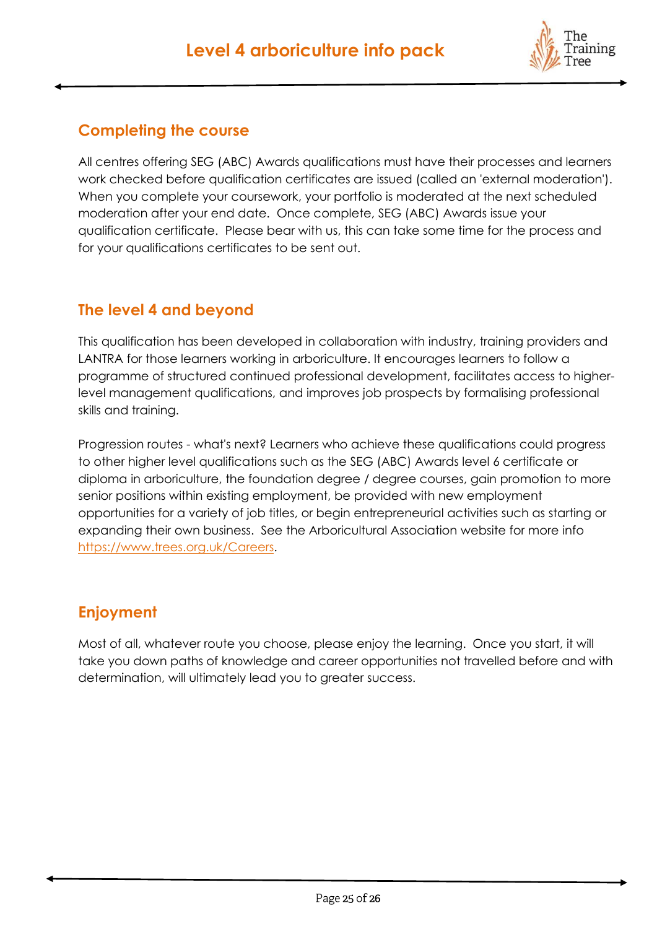

# <span id="page-24-0"></span>**Completing the course**

All centres offering SEG (ABC) Awards qualifications must have their processes and learners work checked before qualification certificates are issued (called an 'external moderation'). When you complete your coursework, your portfolio is moderated at the next scheduled moderation after your end date. Once complete, SEG (ABC) Awards issue your qualification certificate. Please bear with us, this can take some time for the process and for your qualifications certificates to be sent out.

# <span id="page-24-1"></span>**The level 4 and beyond**

This qualification has been developed in collaboration with industry, training providers and LANTRA for those learners working in arboriculture. It encourages learners to follow a programme of structured continued professional development, facilitates access to higherlevel management qualifications, and improves job prospects by formalising professional skills and training.

Progression routes - what's next? Learners who achieve these qualifications could progress to other higher level qualifications such as the SEG (ABC) Awards level 6 certificate or diploma in arboriculture, the foundation degree / degree courses, gain promotion to more senior positions within existing employment, be provided with new employment opportunities for a variety of job titles, or begin entrepreneurial activities such as starting or expanding their own business. See the Arboricultural Association website for more info [https://www.trees.org.uk/Careers.](https://www.trees.org.uk/Careers)

# <span id="page-24-2"></span>**Enjoyment**

Most of all, whatever route you choose, please enjoy the learning. Once you start, it will take you down paths of knowledge and career opportunities not travelled before and with determination, will ultimately lead you to greater success.